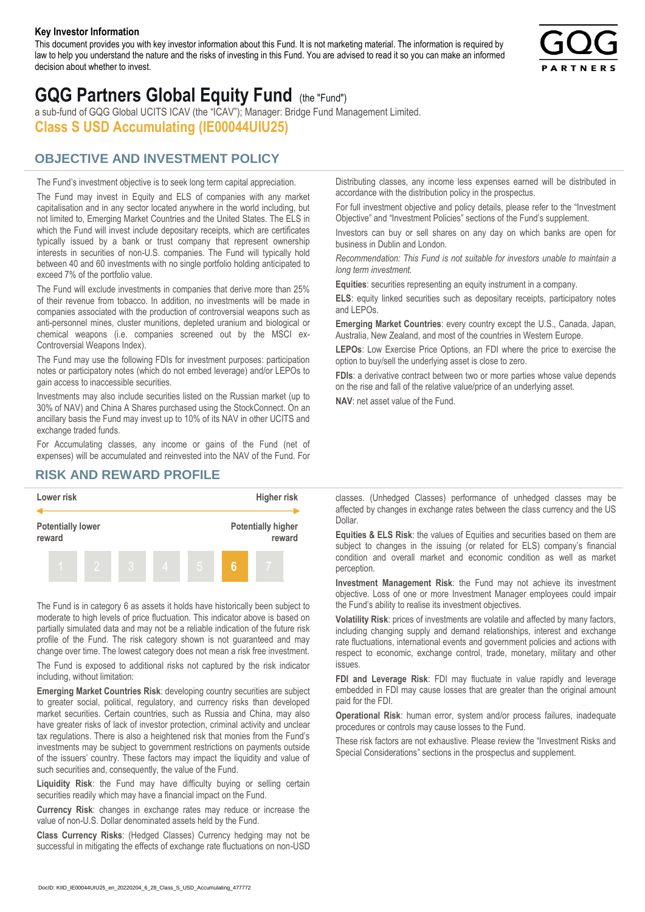#### **Key Investor Information**

This document provides you with key investor information about this Fund. It is not marketing material. The information is required by law to help you understand the nature and the risks of investing in this Fund. You are advised to read it so you can make an informed decision about whether to invest.



# **GQG Partners Global Equity Fund** (the "Fund")

a sub-fund of GQG Global UCITS ICAV (the "ICAV"); Manager: Bridge Fund Management Limited. **Class S USD Accumulating (IE00044UIU25)**

## **OBJECTIVE AND INVESTMENT POLICY**

The Fund's investment objective is to seek long term capital appreciation. The Fund may invest in Equity and ELS of companies with any market capitalisation and in any sector located anywhere in the world including, but not limited to, Emerging Market Countries and the United States. The ELS in which the Fund will invest include depositary receipts, which are certificates typically issued by a bank or trust company that represent ownership interests in securities of non-U.S. companies. The Fund will typically hold between 40 and 60 investments with no single portfolio holding anticipated to exceed 7% of the portfolio value.

The Fund will exclude investments in companies that derive more than 25% of their revenue from tobacco. In addition, no investments will be made in companies associated with the production of controversial weapons such as anti-personnel mines, cluster munitions, depleted uranium and biological or chemical weapons (i.e. companies screened out by the MSCI ex-Controversial Weapons Index).

The Fund may use the following FDIs for investment purposes: participation notes or participatory notes (which do not embed leverage) and/or LEPOs to gain access to inaccessible securities.

Investments may also include securities listed on the Russian market (up to 30% of NAV) and China A Shares purchased using the StockConnect. On an ancillary basis the Fund may invest up to 10% of its NAV in other UCITS and exchange traded funds.

For Accumulating classes, any income or gains of the Fund (net of expenses) will be accumulated and reinvested into the NAV of the Fund. For Distributing classes, any income less expenses earned will be distributed in accordance with the distribution policy in the prospectus.

For full investment objective and policy details, please refer to the "Investment Objective" and "Investment Policies" sections of the Fund's supplement.

Investors can buy or sell shares on any day on which banks are open for business in Dublin and London.

*Recommendation: This Fund is not suitable for investors unable to maintain a long term investment.*

**Equities**: securities representing an equity instrument in a company.

**ELS**: equity linked securities such as depositary receipts, participatory notes and LEPOs.

**Emerging Market Countries**: every country except the U.S., Canada, Japan, Australia, New Zealand, and most of the countries in Western Europe.

**LEPOs**: Low Exercise Price Options, an FDI where the price to exercise the option to buy/sell the underlying asset is close to zero.

**FDIs**: a derivative contract between two or more parties whose value depends on the rise and fall of the relative value/price of an underlying asset.

**NAV**: net asset value of the Fund.

### **RISK AND REWARD PROFILE**



The Fund is in category 6 as assets it holds have historically been subject to moderate to high levels of price fluctuation. This indicator above is based on partially simulated data and may not be a reliable indication of the future risk profile of the Fund. The risk category shown is not guaranteed and may change over time. The lowest category does not mean a risk free investment.

The Fund is exposed to additional risks not captured by the risk indicator including, without limitation:

**Emerging Market Countries Risk**: developing country securities are subject to greater social, political, regulatory, and currency risks than developed market securities. Certain countries, such as Russia and China, may also have greater risks of lack of investor protection, criminal activity and unclear tax regulations. There is also a heightened risk that monies from the Fund's investments may be subject to government restrictions on payments outside of the issuers' country. These factors may impact the liquidity and value of such securities and, consequently, the value of the Fund.

**Liquidity Risk**: the Fund may have difficulty buying or selling certain securities readily which may have a financial impact on the Fund.

**Currency Risk**: changes in exchange rates may reduce or increase the value of non-U.S. Dollar denominated assets held by the Fund.

**Class Currency Risks**: (Hedged Classes) Currency hedging may not be successful in mitigating the effects of exchange rate fluctuations on non-USD classes. (Unhedged Classes) performance of unhedged classes may be affected by changes in exchange rates between the class currency and the US Dollar.

**Equities & ELS Risk**: the values of Equities and securities based on them are subject to changes in the issuing (or related for ELS) company's financial condition and overall market and economic condition as well as market perception.

**Investment Management Risk**: the Fund may not achieve its investment objective. Loss of one or more Investment Manager employees could impair the Fund's ability to realise its investment objectives.

**Volatility Risk**: prices of investments are volatile and affected by many factors, including changing supply and demand relationships, interest and exchange rate fluctuations, international events and government policies and actions with respect to economic, exchange control, trade, monetary, military and other issues.

**FDI and Leverage Risk**: FDI may fluctuate in value rapidly and leverage embedded in FDI may cause losses that are greater than the original amount paid for the FDI.

**Operational Risk**: human error, system and/or process failures, inadequate procedures or controls may cause losses to the Fund.

These risk factors are not exhaustive. Please review the "Investment Risks and Special Considerations" sections in the prospectus and supplement.